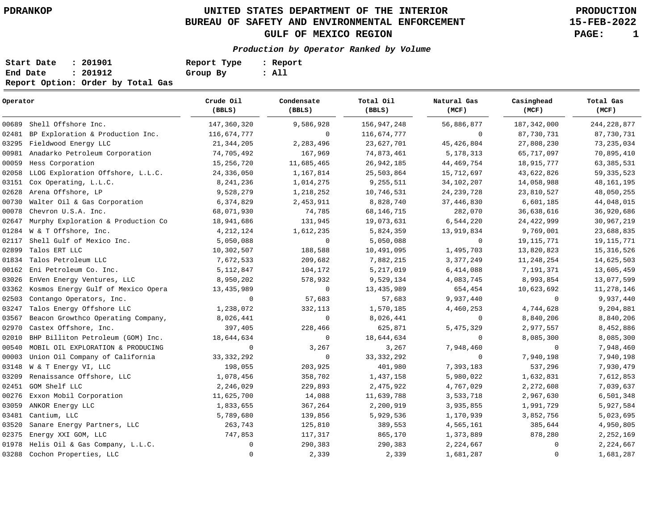## **UNITED STATES DEPARTMENT OF THE INTERIOR PDRANKOP PRODUCTION BUREAU OF SAFETY AND ENVIRONMENTAL ENFORCEMENT GULF OF MEXICO REGION PAGE: 1**

**15-FEB-2022**

### **Production by Operator Ranked by Volume**

| Start Date | : 201901                          | Report Type | : Report |
|------------|-----------------------------------|-------------|----------|
| End Date   | : 201912                          | Group By    | : All    |
|            | Report Option: Order by Total Gas |             |          |

| Operator |                                          | Crude Oil<br>(BBLS) | Condensate<br>(BBLS) | Total Oil<br>(BBLS) | Natural Gas<br>(MCF) | Casinghead<br>(MCF) | Total Gas<br>(MCF) |  |
|----------|------------------------------------------|---------------------|----------------------|---------------------|----------------------|---------------------|--------------------|--|
| 00689    | Shell Offshore Inc.                      | 147,360,320         | 9,586,928            | 156, 947, 248       | 56,886,877           | 187, 342, 000       | 244, 228, 877      |  |
| 02481    | BP Exploration & Production Inc.         | 116,674,777         | $\mathbf 0$          | 116,674,777         | $\Omega$             | 87,730,731          | 87,730,731         |  |
| 03295    | Fieldwood Energy LLC                     | 21, 344, 205        | 2,283,496            | 23,627,701          | 45, 426, 804         | 27,808,230          | 73, 235, 034       |  |
| 00981    | Anadarko Petroleum Corporation           | 74,705,492          | 167,969              | 74,873,461          | 5, 178, 313          | 65,717,097          | 70,895,410         |  |
| 00059    | Hess Corporation                         | 15,256,720          | 11,685,465           | 26, 942, 185        | 44, 469, 754         | 18,915,777          | 63, 385, 531       |  |
| 02058    | LLOG Exploration Offshore, L.L.C.        | 24,336,050          | 1,167,814            | 25,503,864          | 15,712,697           | 43,622,826          | 59, 335, 523       |  |
| 03151    | Cox Operating, L.L.C.                    | 8, 241, 236         | 1,014,275            | 9,255,511           | 34,102,207           | 14,058,988          | 48, 161, 195       |  |
| 02628    | Arena Offshore, LP                       | 9,528,279           | 1,218,252            | 10,746,531          | 24, 239, 728         | 23,810,527          | 48,050,255         |  |
| 00730    | Walter Oil & Gas Corporation             | 6,374,829           | 2,453,911            | 8,828,740           | 37, 446, 830         | 6,601,185           | 44,048,015         |  |
| 00078    | Chevron U.S.A. Inc.                      | 68,071,930          | 74,785               | 68, 146, 715        | 282,070              | 36,638,616          | 36,920,686         |  |
| 02647    | Murphy Exploration & Production Co       | 18,941,686          | 131,945              | 19,073,631          | 6,544,220            | 24, 422, 999        | 30,967,219         |  |
| 01284    | W & T Offshore, Inc.                     | 4, 212, 124         | 1,612,235            | 5,824,359           | 13,919,834           | 9,769,001           | 23,688,835         |  |
| 02117    | Shell Gulf of Mexico Inc.                | 5,050,088           | $\mathbf 0$          | 5,050,088           | $\mathbf 0$          | 19,115,771          | 19, 115, 771       |  |
| 02899    | Talos ERT LLC                            | 10,302,507          | 188,588              | 10,491,095          | 1,495,703            | 13,820,823          | 15, 316, 526       |  |
| 01834    | Talos Petroleum LLC                      | 7,672,533           | 209,682              | 7,882,215           | 3, 377, 249          | 11,248,254          | 14,625,503         |  |
| 00162    | Eni Petroleum Co. Inc.                   | 5, 112, 847         | 104,172              | 5,217,019           | 6,414,088            | 7,191,371           | 13,605,459         |  |
| 03026    | EnVen Energy Ventures, LLC               | 8,950,202           | 578,932              | 9,529,134           | 4,083,745            | 8,993,854           | 13,077,599         |  |
|          | 03362 Kosmos Energy Gulf of Mexico Opera | 13,435,989          | $\mathbf 0$          | 13, 435, 989        | 654,454              | 10,623,692          | 11,278,146         |  |
| 02503    | Contango Operators, Inc.                 | $\mathbf 0$         | 57,683               | 57,683              | 9,937,440            | $\mathbf{0}$        | 9,937,440          |  |
| 03247    | Talos Energy Offshore LLC                | 1,238,072           | 332,113              | 1,570,185           | 4,460,253            | 4,744,628           | 9,204,881          |  |
| 03567    | Beacon Growthco Operating Company,       | 8,026,441           | $\mathbf 0$          | 8,026,441           | 0                    | 8,840,206           | 8,840,206          |  |
| 02970    | Castex Offshore, Inc.                    | 397,405             | 228,466              | 625,871             | 5, 475, 329          | 2,977,557           | 8,452,886          |  |
| 02010    | BHP Billiton Petroleum (GOM) Inc.        | 18,644,634          | 0                    | 18,644,634          | 0                    | 8,085,300           | 8,085,300          |  |
| 00540    | MOBIL OIL EXPLORATION & PRODUCING        | $\mathbf 0$         | 3,267                | 3,267               | 7,948,460            | $\mathbf{0}$        | 7,948,460          |  |
| 00003    | Union Oil Company of California          | 33, 332, 292        | $\mathbf 0$          | 33, 332, 292        | $\mathbf 0$          | 7,940,198           | 7,940,198          |  |
| 03148    | W & T Energy VI, LLC                     | 198,055             | 203,925              | 401,980             | 7,393,183            | 537,296             | 7,930,479          |  |
| 03209    | Renaissance Offshore, LLC                | 1,078,456           | 358,702              | 1,437,158           | 5,980,022            | 1,632,831           | 7,612,853          |  |
|          | 02451 GOM Shelf LLC                      | 2,246,029           | 229,893              | 2,475,922           | 4,767,029            | 2,272,608           | 7,039,637          |  |
| 00276    | Exxon Mobil Corporation                  | 11,625,700          | 14,088               | 11,639,788          | 3,533,718            | 2,967,630           | 6,501,348          |  |
| 03059    | ANKOR Energy LLC                         | 1,833,655           | 367,264              | 2,200,919           | 3,935,855            | 1,991,729           | 5,927,584          |  |
| 03481    | Cantium, LLC                             | 5,789,680           | 139,856              | 5,929,536           | 1,170,939            | 3,852,756           | 5,023,695          |  |
| 03520    | Sanare Energy Partners, LLC              | 263,743             | 125,810              | 389,553             | 4,565,161            | 385,644             | 4,950,805          |  |
| 02375    | Energy XXI GOM, LLC                      | 747,853             | 117,317              | 865,170             | 1,373,889            | 878,280             | 2,252,169          |  |
| 01978    | Helis Oil & Gas Company, L.L.C.          | $\mathbf{0}$        | 290,383              | 290,383             | 2,224,667            | 0                   | 2,224,667          |  |
|          | 03288 Cochon Properties, LLC             | $\mathbf 0$         | 2,339                | 2,339               | 1,681,287            | 0                   | 1,681,287          |  |